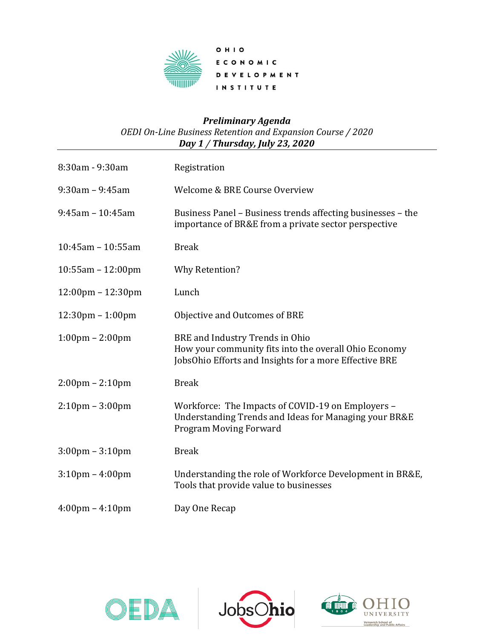

## *Preliminary Agenda OEDI On-Line Business Retention and Expansion Course / 2020 Day 1 / Thursday, July 23, 2020*

| 8:30am - 9:30am                     | Registration                                                                                                                                       |
|-------------------------------------|----------------------------------------------------------------------------------------------------------------------------------------------------|
| $9:30$ am - $9:45$ am               | Welcome & BRE Course Overview                                                                                                                      |
| $9:45am - 10:45am$                  | Business Panel - Business trends affecting businesses - the<br>importance of BR&E from a private sector perspective                                |
| $10:45$ am - 10:55am                | <b>Break</b>                                                                                                                                       |
| $10:55$ am - 12:00pm                | <b>Why Retention?</b>                                                                                                                              |
| $12:00 \text{pm} - 12:30 \text{pm}$ | Lunch                                                                                                                                              |
| $12:30 \text{pm} - 1:00 \text{pm}$  | Objective and Outcomes of BRE                                                                                                                      |
| $1:00 \text{pm} - 2:00 \text{pm}$   | BRE and Industry Trends in Ohio<br>How your community fits into the overall Ohio Economy<br>JobsOhio Efforts and Insights for a more Effective BRE |
| $2:00 \text{pm} - 2:10 \text{pm}$   | <b>Break</b>                                                                                                                                       |
| $2:10 \text{pm} - 3:00 \text{pm}$   | Workforce: The Impacts of COVID-19 on Employers -<br>Understanding Trends and Ideas for Managing your BR&E<br><b>Program Moving Forward</b>        |
| $3:00 \text{pm} - 3:10 \text{pm}$   | <b>Break</b>                                                                                                                                       |
| $3:10 \text{pm} - 4:00 \text{pm}$   | Understanding the role of Workforce Development in BR&E,<br>Tools that provide value to businesses                                                 |
| $4:00 \text{pm} - 4:10 \text{pm}$   | Day One Recap                                                                                                                                      |